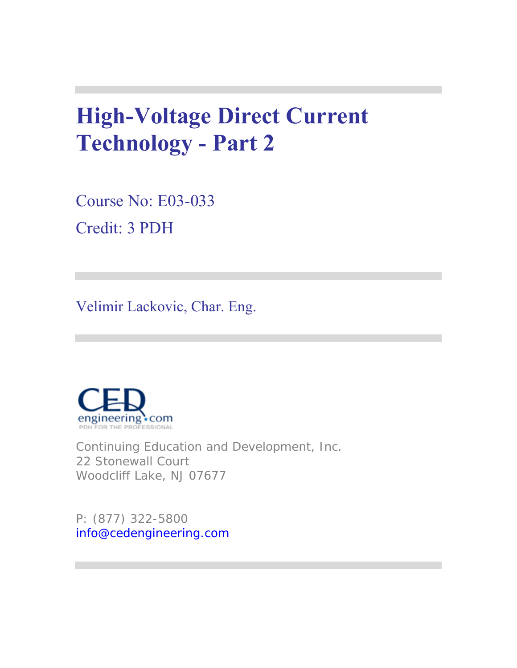# **High-Voltage Direct Current Technology - Part 2**

Course No: E03-033 Credit: 3 PDH

Velimir Lackovic, Char. Eng.



Continuing Education and Development, Inc. 22 Stonewall Court Woodcliff Lake, NJ 07677

P: (877) 322-5800 info@cedengineering.com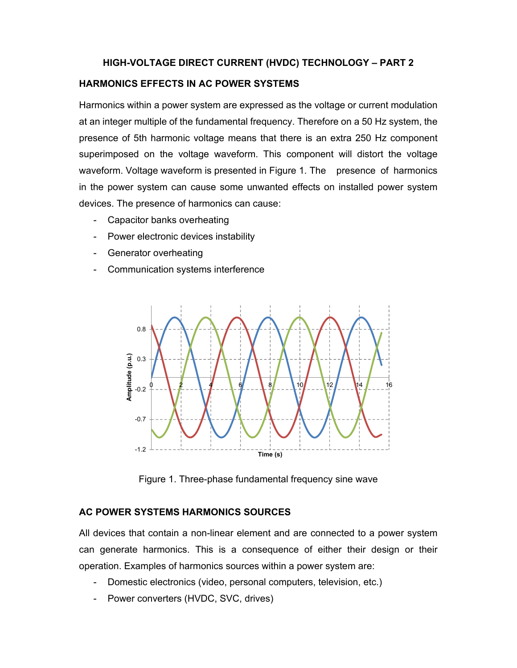## **HIGH-VOLTAGE DIRECT CURRENT (HVDC) TECHNOLOGY – PART 2**

#### **HARMONICS EFFECTS IN AC POWER SYSTEMS**

Harmonics within a power system are expressed as the voltage or current modulation at an integer multiple of the fundamental frequency. Therefore on a 50 Hz system, the presence of 5th harmonic voltage means that there is an extra 250 Hz component superimposed on the voltage waveform. This component will distort the voltage waveform. Voltage waveform is presented in Figure 1. The presence of harmonics in the power system can cause some unwanted effects on installed power system devices. The presence of harmonics can cause:

- Capacitor banks overheating
- Power electronic devices instability
- Generator overheating
- Communication systems interference



Figure 1. Three-phase fundamental frequency sine wave

## **AC POWER SYSTEMS HARMONICS SOURCES**

All devices that contain a non-linear element and are connected to a power system can generate harmonics. This is a consequence of either their design or their operation. Examples of harmonics sources within a power system are:

- Domestic electronics (video, personal computers, television, etc.)
- Power converters (HVDC, SVC, drives)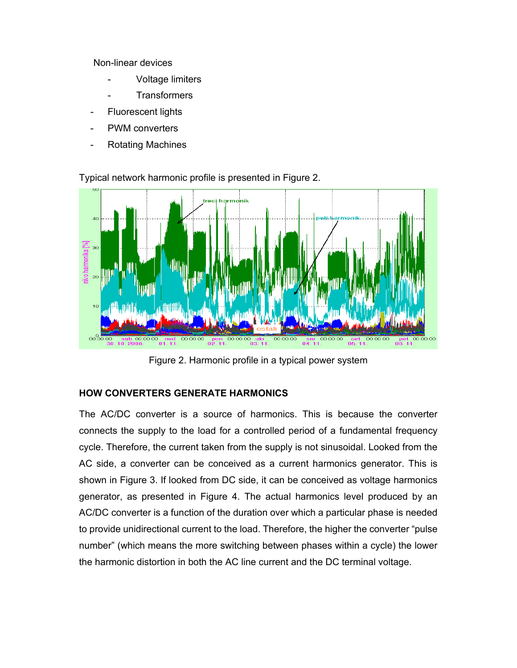Non-linear devices

- Voltage limiters
- **Transformers**
- Fluorescent lights
- PWM converters
- Rotating Machines



Typical network harmonic profile is presented in Figure 2.

Figure 2. Harmonic profile in a typical power system

# **HOW CONVERTERS GENERATE HARMONICS**

The AC/DC converter is a source of harmonics. This is because the converter connects the supply to the load for a controlled period of a fundamental frequency cycle. Therefore, the current taken from the supply is not sinusoidal. Looked from the AC side, a converter can be conceived as a current harmonics generator. This is shown in Figure 3. If looked from DC side, it can be conceived as voltage harmonics generator, as presented in Figure 4. The actual harmonics level produced by an AC/DC converter is a function of the duration over which a particular phase is needed to provide unidirectional current to the load. Therefore, the higher the converter "pulse number" (which means the more switching between phases within a cycle) the lower the harmonic distortion in both the AC line current and the DC terminal voltage.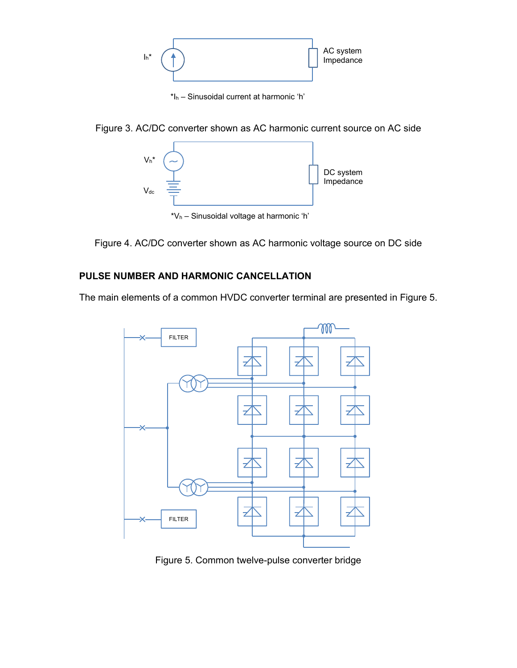

\*Ih – Sinusoidal current at harmonic 'h'





Figure 4. AC/DC converter shown as AC harmonic voltage source on DC side

# **PULSE NUMBER AND HARMONIC CANCELLATION**

The main elements of a common HVDC converter terminal are presented in Figure 5.



Figure 5. Common twelve-pulse converter bridge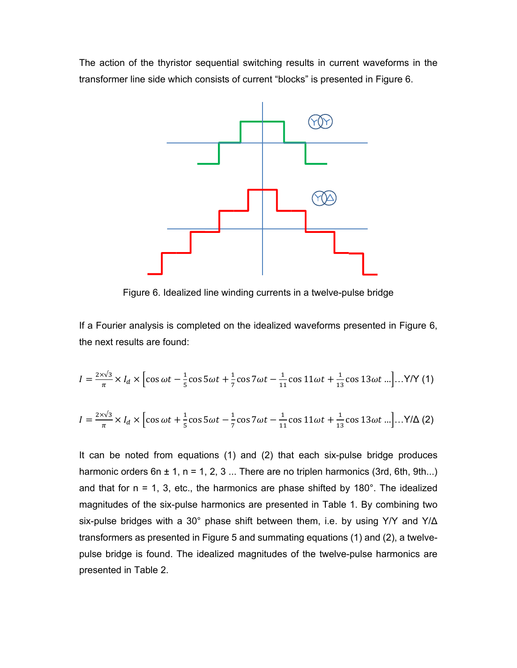The action of the thyristor sequential switching results in current waveforms in the transformer line side which consists of current "blocks" is presented in Figure 6.



Figure 6. Idealized line winding currents in a twelve-pulse bridge

If a Fourier analysis is completed on the idealized waveforms presented in Figure 6, the next results are found:

$$
I = \frac{2 \times \sqrt{3}}{\pi} \times I_d \times \left[ \cos \omega t - \frac{1}{5} \cos 5 \omega t + \frac{1}{7} \cos 7 \omega t - \frac{1}{11} \cos 11 \omega t + \frac{1}{13} \cos 13 \omega t \ldots \right] \ldots Y/Y
$$
 (1)

$$
I = \frac{2 \times \sqrt{3}}{\pi} \times I_d \times \left[ \cos \omega t + \frac{1}{5} \cos 5 \omega t - \frac{1}{7} \cos 7 \omega t - \frac{1}{11} \cos 11 \omega t + \frac{1}{13} \cos 13 \omega t \ldots \right] \ldots Y/\Delta \tag{2}
$$

It can be noted from equations (1) and (2) that each six-pulse bridge produces harmonic orders  $6n \pm 1$ ,  $n = 1, 2, 3...$  There are no triplen harmonics (3rd, 6th, 9th...) and that for  $n = 1$ , 3, etc., the harmonics are phase shifted by 180 $^{\circ}$ . The idealized magnitudes of the six-pulse harmonics are presented in Table 1. By combining two six-pulse bridges with a 30° phase shift between them, i.e. by using Y/Y and Y/Δ transformers as presented in Figure 5 and summating equations (1) and (2), a twelvepulse bridge is found. The idealized magnitudes of the twelve-pulse harmonics are presented in Table 2.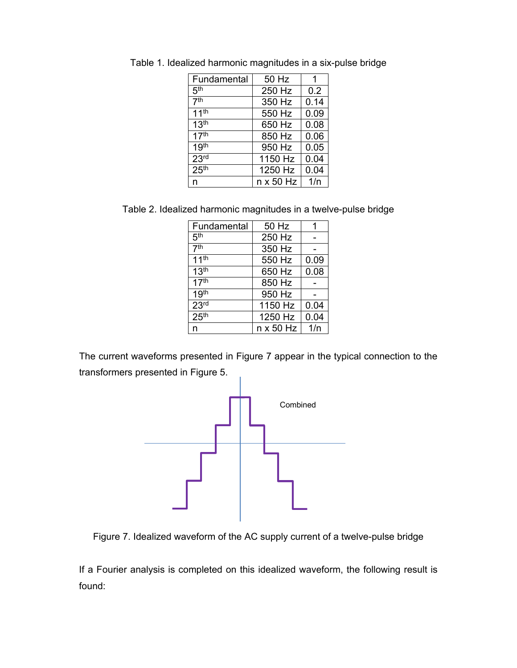| Fundamental      | 50 Hz            |      |
|------------------|------------------|------|
| 5 <sup>th</sup>  | 250 Hz           | 0.2  |
| 7 <sup>th</sup>  | 350 Hz           | 0.14 |
| 11 <sup>th</sup> | 550 Hz           | 0.09 |
| 13 <sup>th</sup> | 650 Hz           | 0.08 |
| 17 <sup>th</sup> | 850 Hz           | 0.06 |
| 19 <sup>th</sup> | 950 Hz           | 0.05 |
| 23 <sup>rd</sup> | 1150 Hz          | 0.04 |
| 25 <sup>th</sup> | 1250 Hz          | 0.04 |
| n                | $n \times 50$ Hz | 1/n  |

Table 1. Idealized harmonic magnitudes in a six-pulse bridge

Table 2. Idealized harmonic magnitudes in a twelve-pulse bridge

| Fundamental      | 50 Hz            | 1    |
|------------------|------------------|------|
| 5 <sup>th</sup>  | 250 Hz           |      |
| 7 <sup>th</sup>  | 350 Hz           |      |
| 11 <sup>th</sup> | 550 Hz           | 0.09 |
| 13 <sup>th</sup> | 650 Hz           | 0.08 |
| 17 <sup>th</sup> | 850 Hz           |      |
| 19 <sup>th</sup> | 950 Hz           |      |
| 23 <sup>rd</sup> | 1150 Hz          | 0.04 |
| 25 <sup>th</sup> | 1250 Hz          | 0.04 |
| n                | $n \times 50$ Hz | 1/n  |

The current waveforms presented in Figure 7 appear in the typical connection to the transformers presented in Figure 5.



Figure 7. Idealized waveform of the AC supply current of a twelve-pulse bridge

If a Fourier analysis is completed on this idealized waveform, the following result is found: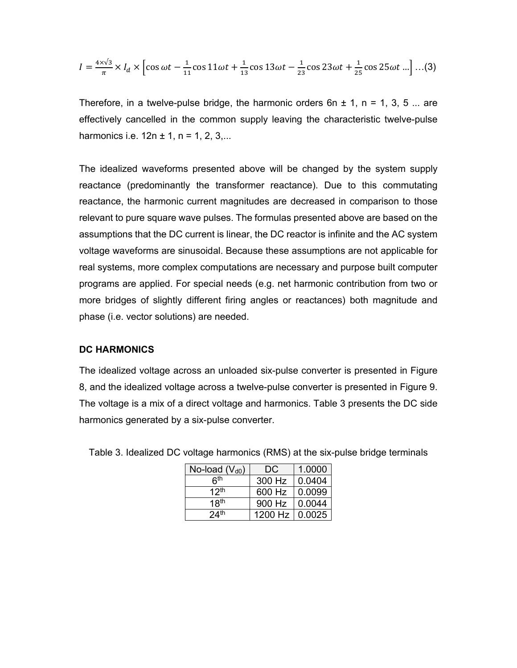$$
I = \frac{4 \times \sqrt{3}}{\pi} \times I_d \times \left[ \cos \omega t - \frac{1}{11} \cos 11 \omega t + \frac{1}{13} \cos 13 \omega t - \frac{1}{23} \cos 23 \omega t + \frac{1}{25} \cos 25 \omega t \ldots \right] \ldots (3)
$$

Therefore, in a twelve-pulse bridge, the harmonic orders  $6n \pm 1$ ,  $n = 1, 3, 5...$  are effectively cancelled in the common supply leaving the characteristic twelve-pulse harmonics i.e.  $12n \pm 1$ ,  $n = 1, 2, 3,...$ 

The idealized waveforms presented above will be changed by the system supply reactance (predominantly the transformer reactance). Due to this commutating reactance, the harmonic current magnitudes are decreased in comparison to those relevant to pure square wave pulses. The formulas presented above are based on the assumptions that the DC current is linear, the DC reactor is infinite and the AC system voltage waveforms are sinusoidal. Because these assumptions are not applicable for real systems, more complex computations are necessary and purpose built computer programs are applied. For special needs (e.g. net harmonic contribution from two or more bridges of slightly different firing angles or reactances) both magnitude and phase (i.e. vector solutions) are needed.

#### **DC HARMONICS**

The idealized voltage across an unloaded six-pulse converter is presented in Figure 8, and the idealized voltage across a twelve-pulse converter is presented in Figure 9. The voltage is a mix of a direct voltage and harmonics. Table 3 presents the DC side harmonics generated by a six-pulse converter.

| No-load (Vdo)    | DC.     | 1.0000 |
|------------------|---------|--------|
| հ <sup>th</sup>  | 300 Hz  | 0.0404 |
| 12 <sup>th</sup> | 600 Hz  | 0.0099 |
| 18 <sup>th</sup> | 900 Hz  | 0.0044 |
| 24 <sup>th</sup> | 1200 Hz | 0.0025 |

Table 3. Idealized DC voltage harmonics (RMS) at the six-pulse bridge terminals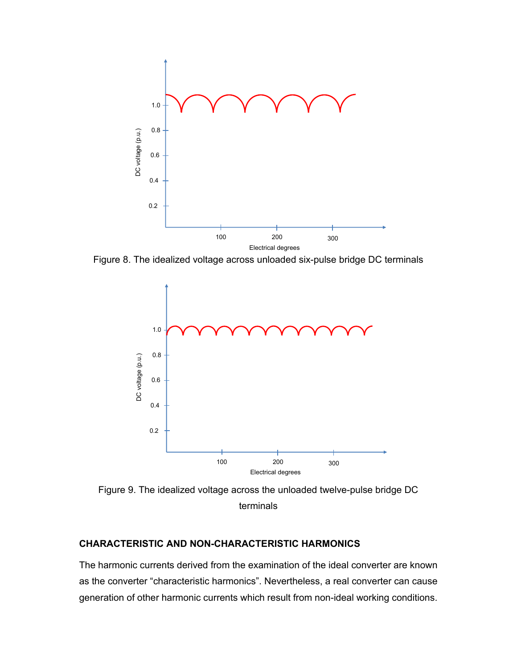

Figure 8. The idealized voltage across unloaded six-pulse bridge DC terminals



Figure 9. The idealized voltage across the unloaded twelve-pulse bridge DC terminals

## **CHARACTERISTIC AND NON-CHARACTERISTIC HARMONICS**

The harmonic currents derived from the examination of the ideal converter are known as the converter "characteristic harmonics". Nevertheless, a real converter can cause generation of other harmonic currents which result from non-ideal working conditions.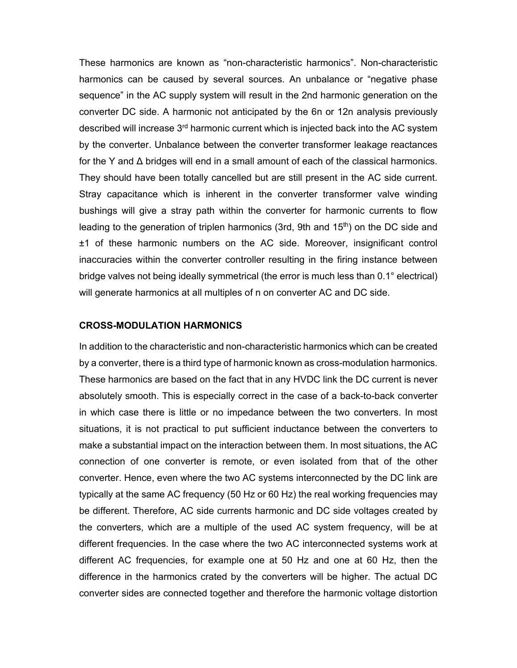These harmonics are known as "non-characteristic harmonics". Non-characteristic harmonics can be caused by several sources. An unbalance or "negative phase sequence" in the AC supply system will result in the 2nd harmonic generation on the converter DC side. A harmonic not anticipated by the 6n or 12n analysis previously described will increase 3<sup>rd</sup> harmonic current which is injected back into the AC system by the converter. Unbalance between the converter transformer leakage reactances for the Y and  $\Delta$  bridges will end in a small amount of each of the classical harmonics. They should have been totally cancelled but are still present in the AC side current. Stray capacitance which is inherent in the converter transformer valve winding bushings will give a stray path within the converter for harmonic currents to flow leading to the generation of triplen harmonics (3rd, 9th and 15<sup>th</sup>) on the DC side and ±1 of these harmonic numbers on the AC side. Moreover, insignificant control inaccuracies within the converter controller resulting in the firing instance between bridge valves not being ideally symmetrical (the error is much less than 0.1° electrical) will generate harmonics at all multiples of n on converter AC and DC side.

#### **CROSS-MODULATION HARMONICS**

In addition to the characteristic and non-characteristic harmonics which can be created by a converter, there is a third type of harmonic known as cross-modulation harmonics. These harmonics are based on the fact that in any HVDC link the DC current is never absolutely smooth. This is especially correct in the case of a back-to-back converter in which case there is little or no impedance between the two converters. In most situations, it is not practical to put sufficient inductance between the converters to make a substantial impact on the interaction between them. In most situations, the AC connection of one converter is remote, or even isolated from that of the other converter. Hence, even where the two AC systems interconnected by the DC link are typically at the same AC frequency (50 Hz or 60 Hz) the real working frequencies may be different. Therefore, AC side currents harmonic and DC side voltages created by the converters, which are a multiple of the used AC system frequency, will be at different frequencies. In the case where the two AC interconnected systems work at different AC frequencies, for example one at 50 Hz and one at 60 Hz, then the difference in the harmonics crated by the converters will be higher. The actual DC converter sides are connected together and therefore the harmonic voltage distortion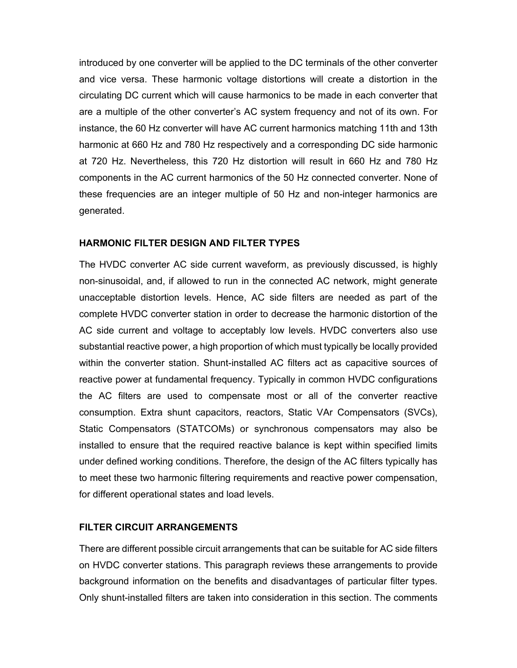introduced by one converter will be applied to the DC terminals of the other converter and vice versa. These harmonic voltage distortions will create a distortion in the circulating DC current which will cause harmonics to be made in each converter that are a multiple of the other converter's AC system frequency and not of its own. For instance, the 60 Hz converter will have AC current harmonics matching 11th and 13th harmonic at 660 Hz and 780 Hz respectively and a corresponding DC side harmonic at 720 Hz. Nevertheless, this 720 Hz distortion will result in 660 Hz and 780 Hz components in the AC current harmonics of the 50 Hz connected converter. None of these frequencies are an integer multiple of 50 Hz and non-integer harmonics are generated.

## **HARMONIC FILTER DESIGN AND FILTER TYPES**

The HVDC converter AC side current waveform, as previously discussed, is highly non-sinusoidal, and, if allowed to run in the connected AC network, might generate unacceptable distortion levels. Hence, AC side filters are needed as part of the complete HVDC converter station in order to decrease the harmonic distortion of the AC side current and voltage to acceptably low levels. HVDC converters also use substantial reactive power, a high proportion of which must typically be locally provided within the converter station. Shunt-installed AC filters act as capacitive sources of reactive power at fundamental frequency. Typically in common HVDC configurations the AC filters are used to compensate most or all of the converter reactive consumption. Extra shunt capacitors, reactors, Static VAr Compensators (SVCs), Static Compensators (STATCOMs) or synchronous compensators may also be installed to ensure that the required reactive balance is kept within specified limits under defined working conditions. Therefore, the design of the AC filters typically has to meet these two harmonic filtering requirements and reactive power compensation, for different operational states and load levels.

#### **FILTER CIRCUIT ARRANGEMENTS**

There are different possible circuit arrangements that can be suitable for AC side filters on HVDC converter stations. This paragraph reviews these arrangements to provide background information on the benefits and disadvantages of particular filter types. Only shunt-installed filters are taken into consideration in this section. The comments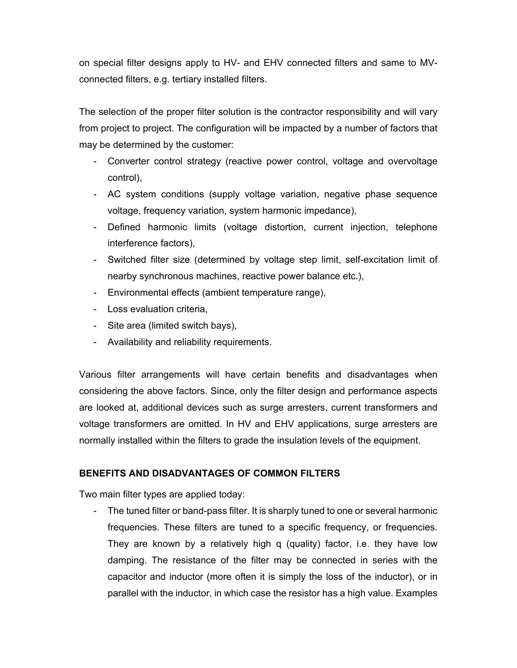on special filter designs apply to HV- and EHV connected filters and same to MVconnected filters, e.g. tertiary installed filters.

The selection of the proper filter solution is the contractor responsibility and will vary from project to project. The configuration will be impacted by a number of factors that may be determined by the customer:

- Converter control strategy (reactive power control, voltage and overvoltage control),
- AC system conditions (supply voltage variation, negative phase sequence voltage, frequency variation, system harmonic impedance),
- Defined harmonic limits (voltage distortion, current injection, telephone interference factors),
- Switched filter size (determined by voltage step limit, self-excitation limit of nearby synchronous machines, reactive power balance etc.),
- Environmental effects (ambient temperature range),
- Loss evaluation criteria,
- Site area (limited switch bays),
- Availability and reliability requirements.

Various filter arrangements will have certain benefits and disadvantages when considering the above factors. Since, only the filter design and performance aspects are looked at, additional devices such as surge arresters, current transformers and voltage transformers are omitted. In HV and EHV applications, surge arresters are normally installed within the filters to grade the insulation levels of the equipment.

## **BENEFITS AND DISADVANTAGES OF COMMON FILTERS**

Two main filter types are applied today:

- The tuned filter or band-pass filter. It is sharply tuned to one or several harmonic frequencies. These filters are tuned to a specific frequency, or frequencies. They are known by a relatively high q (quality) factor, i.e. they have low damping. The resistance of the filter may be connected in series with the capacitor and inductor (more often it is simply the loss of the inductor), or in parallel with the inductor, in which case the resistor has a high value. Examples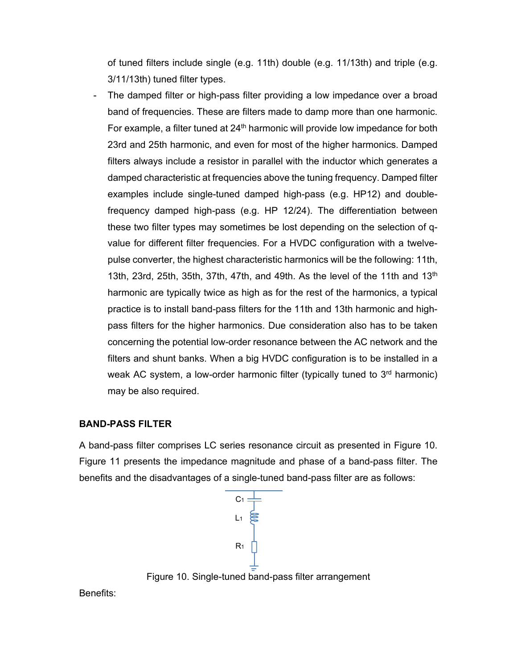of tuned filters include single (e.g. 11th) double (e.g. 11/13th) and triple (e.g. 3/11/13th) tuned filter types.

The damped filter or high-pass filter providing a low impedance over a broad band of frequencies. These are filters made to damp more than one harmonic. For example, a filter tuned at 24<sup>th</sup> harmonic will provide low impedance for both 23rd and 25th harmonic, and even for most of the higher harmonics. Damped filters always include a resistor in parallel with the inductor which generates a damped characteristic at frequencies above the tuning frequency. Damped filter examples include single-tuned damped high-pass (e.g. HP12) and doublefrequency damped high-pass (e.g. HP 12/24). The differentiation between these two filter types may sometimes be lost depending on the selection of qvalue for different filter frequencies. For a HVDC configuration with a twelvepulse converter, the highest characteristic harmonics will be the following: 11th, 13th, 23rd, 25th, 35th, 37th, 47th, and 49th. As the level of the 11th and 13<sup>th</sup> harmonic are typically twice as high as for the rest of the harmonics, a typical practice is to install band-pass filters for the 11th and 13th harmonic and highpass filters for the higher harmonics. Due consideration also has to be taken concerning the potential low-order resonance between the AC network and the filters and shunt banks. When a big HVDC configuration is to be installed in a weak AC system, a low-order harmonic filter (typically tuned to  $3<sup>rd</sup>$  harmonic) may be also required.

## **BAND-PASS FILTER**

A band-pass filter comprises LC series resonance circuit as presented in Figure 10. Figure 11 presents the impedance magnitude and phase of a band-pass filter. The benefits and the disadvantages of a single-tuned band-pass filter are as follows:



Figure 10. Single-tuned band-pass filter arrangement

Benefits: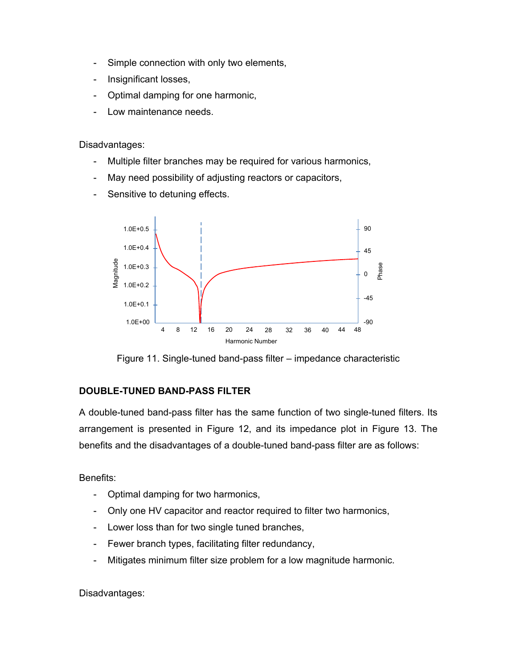- Simple connection with only two elements,
- Insignificant losses,
- Optimal damping for one harmonic,
- Low maintenance needs.

Disadvantages:

- Multiple filter branches may be required for various harmonics,
- May need possibility of adjusting reactors or capacitors,
- Sensitive to detuning effects.



Figure 11. Single-tuned band-pass filter – impedance characteristic

# **DOUBLE-TUNED BAND-PASS FILTER**

A double-tuned band-pass filter has the same function of two single-tuned filters. Its arrangement is presented in Figure 12, and its impedance plot in Figure 13. The benefits and the disadvantages of a double-tuned band-pass filter are as follows:

Benefits:

- Optimal damping for two harmonics,
- Only one HV capacitor and reactor required to filter two harmonics,
- Lower loss than for two single tuned branches,
- Fewer branch types, facilitating filter redundancy,
- Mitigates minimum filter size problem for a low magnitude harmonic.

Disadvantages: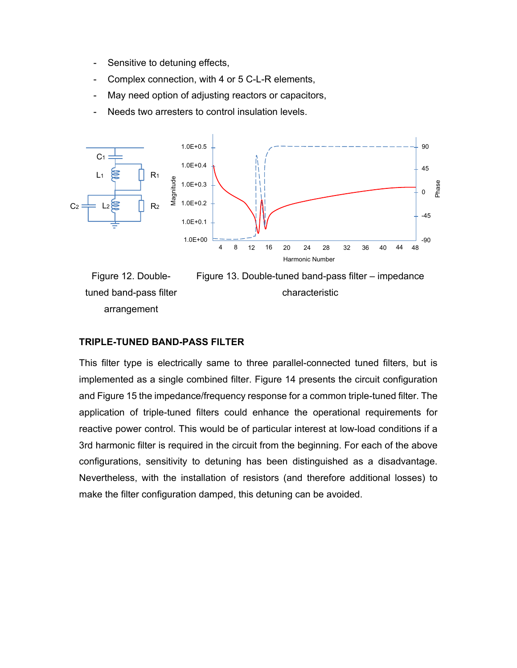- Sensitive to detuning effects,
- Complex connection, with 4 or 5 C-L-R elements,
- May need option of adjusting reactors or capacitors,
- Needs two arresters to control insulation levels.





#### **TRIPLE-TUNED BAND-PASS FILTER**

This filter type is electrically same to three parallel-connected tuned filters, but is implemented as a single combined filter. Figure 14 presents the circuit configuration and Figure 15 the impedance/frequency response for a common triple-tuned filter. The application of triple-tuned filters could enhance the operational requirements for reactive power control. This would be of particular interest at low-load conditions if a 3rd harmonic filter is required in the circuit from the beginning. For each of the above configurations, sensitivity to detuning has been distinguished as a disadvantage. Nevertheless, with the installation of resistors (and therefore additional losses) to make the filter configuration damped, this detuning can be avoided.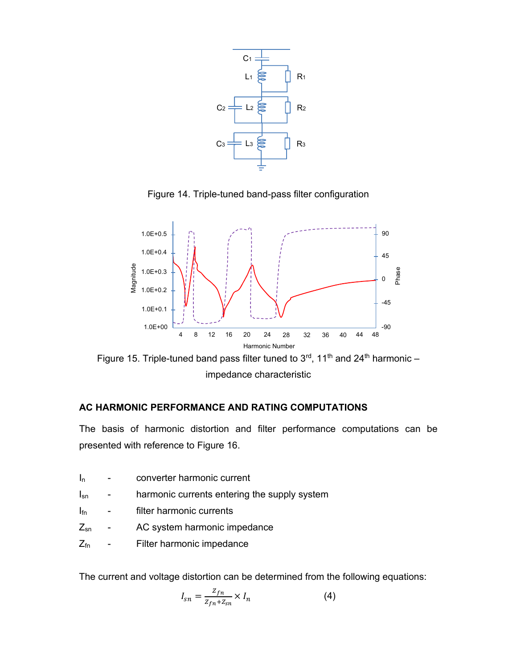

Figure 14. Triple-tuned band-pass filter configuration



Figure 15. Triple-tuned band pass filter tuned to  $3<sup>rd</sup>$ , 11<sup>th</sup> and 24<sup>th</sup> harmonic – impedance characteristic

# **AC HARMONIC PERFORMANCE AND RATING COMPUTATIONS**

The basis of harmonic distortion and filter performance computations can be presented with reference to Figure 16.

- I<sub>n</sub> converter harmonic current
- I<sub>sn</sub> harmonic currents entering the supply system
- I<sub>fn</sub> filter harmonic currents
- Z<sub>sn</sub> AC system harmonic impedance
- Z<sub>fn</sub> Filter harmonic impedance

The current and voltage distortion can be determined from the following equations:

$$
I_{sn} = \frac{Z_{fn}}{Z_{fn} + Z_{sn}} \times I_n
$$
 (4)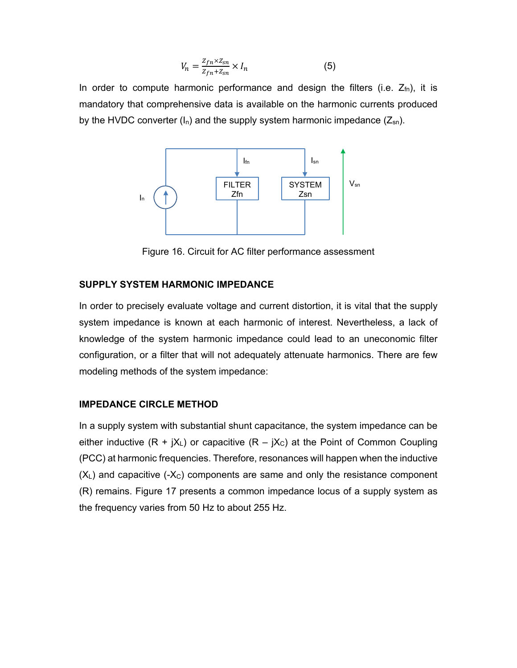$$
V_n = \frac{Z_{fn} \times Z_{sn}}{Z_{fn} + Z_{sn}} \times I_n \tag{5}
$$

In order to compute harmonic performance and design the filters (i.e.  $Z_{fn}$ ), it is mandatory that comprehensive data is available on the harmonic currents produced by the HVDC converter  $(I_n)$  and the supply system harmonic impedance  $(Z_{sn})$ .



Figure 16. Circuit for AC filter performance assessment

## **SUPPLY SYSTEM HARMONIC IMPEDANCE**

In order to precisely evaluate voltage and current distortion, it is vital that the supply system impedance is known at each harmonic of interest. Nevertheless, a lack of knowledge of the system harmonic impedance could lead to an uneconomic filter configuration, or a filter that will not adequately attenuate harmonics. There are few modeling methods of the system impedance:

## **IMPEDANCE CIRCLE METHOD**

In a supply system with substantial shunt capacitance, the system impedance can be either inductive  $(R + jX_L)$  or capacitive  $(R - jX_C)$  at the Point of Common Coupling (PCC) at harmonic frequencies. Therefore, resonances will happen when the inductive  $(X_L)$  and capacitive (- $X_C$ ) components are same and only the resistance component (R) remains. Figure 17 presents a common impedance locus of a supply system as the frequency varies from 50 Hz to about 255 Hz.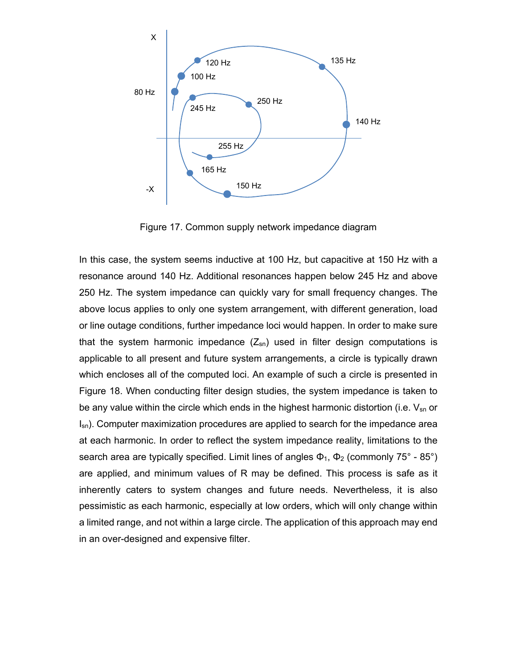

Figure 17. Common supply network impedance diagram

In this case, the system seems inductive at 100 Hz, but capacitive at 150 Hz with a resonance around 140 Hz. Additional resonances happen below 245 Hz and above 250 Hz. The system impedance can quickly vary for small frequency changes. The above locus applies to only one system arrangement, with different generation, load or line outage conditions, further impedance loci would happen. In order to make sure that the system harmonic impedance  $(Z_{sn})$  used in filter design computations is applicable to all present and future system arrangements, a circle is typically drawn which encloses all of the computed loci. An example of such a circle is presented in Figure 18. When conducting filter design studies, the system impedance is taken to be any value within the circle which ends in the highest harmonic distortion (i.e.  $V_{\text{sn}}$  or  $I_{\rm sn}$ ). Computer maximization procedures are applied to search for the impedance area at each harmonic. In order to reflect the system impedance reality, limitations to the search area are typically specified. Limit lines of angles  $\Phi_1$ ,  $\Phi_2$  (commonly 75° - 85°) are applied, and minimum values of R may be defined. This process is safe as it inherently caters to system changes and future needs. Nevertheless, it is also pessimistic as each harmonic, especially at low orders, which will only change within a limited range, and not within a large circle. The application of this approach may end in an over-designed and expensive filter.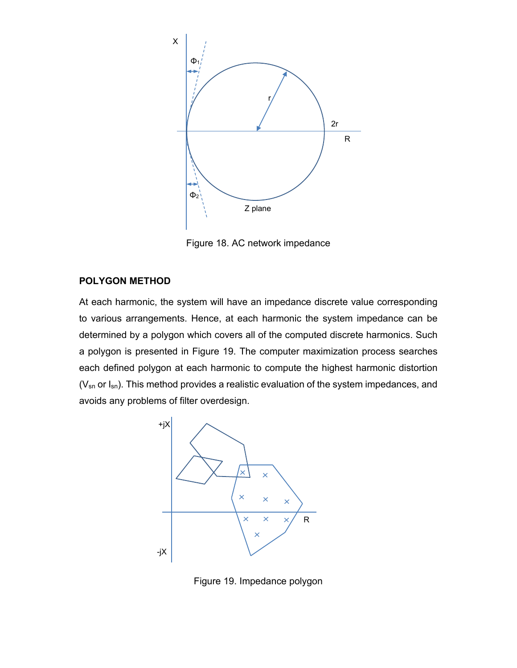

Figure 18. AC network impedance

## **POLYGON METHOD**

At each harmonic, the system will have an impedance discrete value corresponding to various arrangements. Hence, at each harmonic the system impedance can be determined by a polygon which covers all of the computed discrete harmonics. Such a polygon is presented in Figure 19. The computer maximization process searches each defined polygon at each harmonic to compute the highest harmonic distortion ( $V_{sn}$  or  $I_{sn}$ ). This method provides a realistic evaluation of the system impedances, and avoids any problems of filter overdesign.



Figure 19. Impedance polygon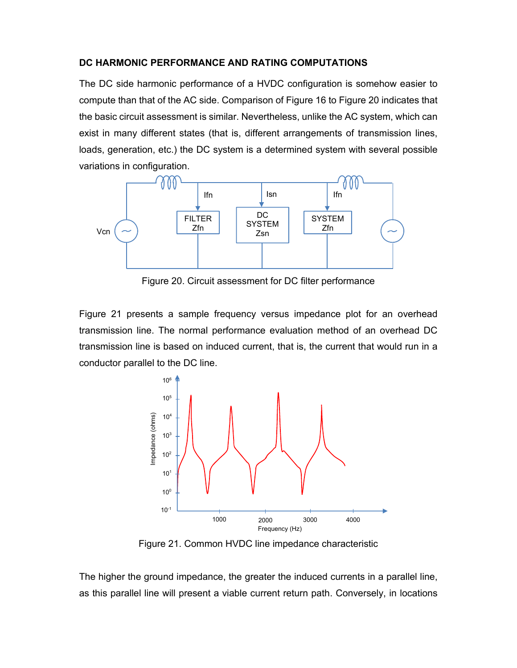## **DC HARMONIC PERFORMANCE AND RATING COMPUTATIONS**

The DC side harmonic performance of a HVDC configuration is somehow easier to compute than that of the AC side. Comparison of Figure 16 to Figure 20 indicates that the basic circuit assessment is similar. Nevertheless, unlike the AC system, which can exist in many different states (that is, different arrangements of transmission lines, loads, generation, etc.) the DC system is a determined system with several possible variations in configuration.



Figure 20. Circuit assessment for DC filter performance

Figure 21 presents a sample frequency versus impedance plot for an overhead transmission line. The normal performance evaluation method of an overhead DC transmission line is based on induced current, that is, the current that would run in a conductor parallel to the DC line.



Figure 21. Common HVDC line impedance characteristic

The higher the ground impedance, the greater the induced currents in a parallel line, as this parallel line will present a viable current return path. Conversely, in locations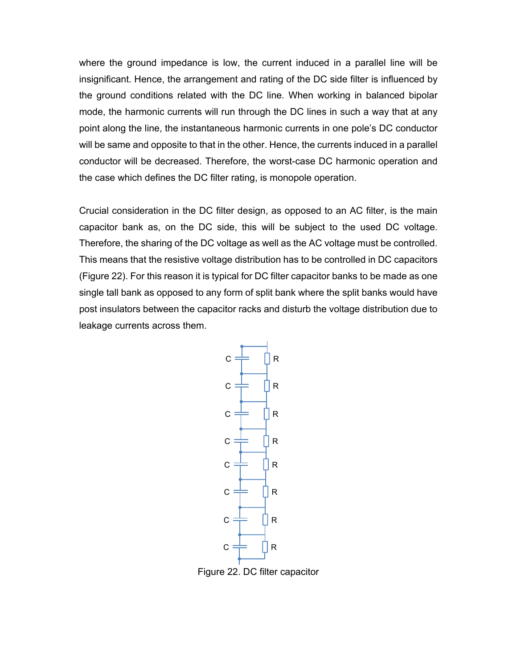where the ground impedance is low, the current induced in a parallel line will be insignificant. Hence, the arrangement and rating of the DC side filter is influenced by the ground conditions related with the DC line. When working in balanced bipolar mode, the harmonic currents will run through the DC lines in such a way that at any point along the line, the instantaneous harmonic currents in one pole's DC conductor will be same and opposite to that in the other. Hence, the currents induced in a parallel conductor will be decreased. Therefore, the worst-case DC harmonic operation and the case which defines the DC filter rating, is monopole operation.

Crucial consideration in the DC filter design, as opposed to an AC filter, is the main capacitor bank as, on the DC side, this will be subject to the used DC voltage. Therefore, the sharing of the DC voltage as well as the AC voltage must be controlled. This means that the resistive voltage distribution has to be controlled in DC capacitors (Figure 22). For this reason it is typical for DC filter capacitor banks to be made as one single tall bank as opposed to any form of split bank where the split banks would have post insulators between the capacitor racks and disturb the voltage distribution due to leakage currents across them.



Figure 22. DC filter capacitor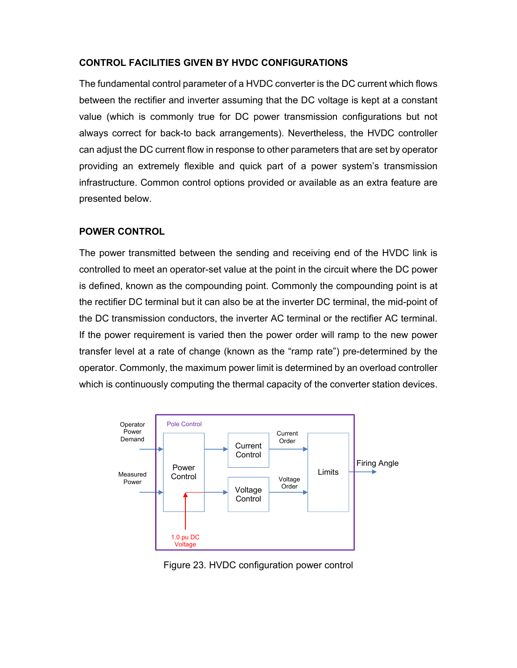# **CONTROL FACILITIES GIVEN BY HVDC CONFIGURATIONS**

The fundamental control parameter of a HVDC converter is the DC current which flows between the rectifier and inverter assuming that the DC voltage is kept at a constant value (which is commonly true for DC power transmission configurations but not always correct for back-to back arrangements). Nevertheless, the HVDC controller can adjust the DC current flow in response to other parameters that are set by operator providing an extremely flexible and quick part of a power system's transmission infrastructure. Common control options provided or available as an extra feature are presented below.

# **POWER CONTROL**

The power transmitted between the sending and receiving end of the HVDC link is controlled to meet an operator-set value at the point in the circuit where the DC power is defined, known as the compounding point. Commonly the compounding point is at the rectifier DC terminal but it can also be at the inverter DC terminal, the mid-point of the DC transmission conductors, the inverter AC terminal or the rectifier AC terminal. If the power requirement is varied then the power order will ramp to the new power transfer level at a rate of change (known as the "ramp rate") pre-determined by the operator. Commonly, the maximum power limit is determined by an overload controller which is continuously computing the thermal capacity of the converter station devices.



Figure 23. HVDC configuration power control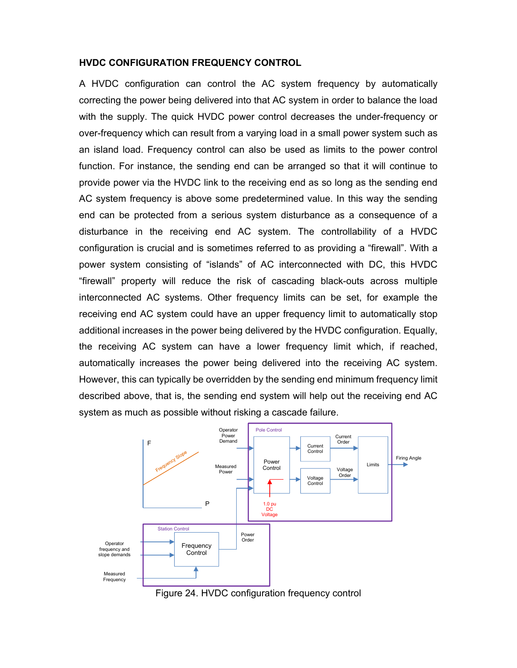#### **HVDC CONFIGURATION FREQUENCY CONTROL**

A HVDC configuration can control the AC system frequency by automatically correcting the power being delivered into that AC system in order to balance the load with the supply. The quick HVDC power control decreases the under-frequency or over-frequency which can result from a varying load in a small power system such as an island load. Frequency control can also be used as limits to the power control function. For instance, the sending end can be arranged so that it will continue to provide power via the HVDC link to the receiving end as so long as the sending end AC system frequency is above some predetermined value. In this way the sending end can be protected from a serious system disturbance as a consequence of a disturbance in the receiving end AC system. The controllability of a HVDC configuration is crucial and is sometimes referred to as providing a "firewall". With a power system consisting of "islands" of AC interconnected with DC, this HVDC "firewall" property will reduce the risk of cascading black-outs across multiple interconnected AC systems. Other frequency limits can be set, for example the receiving end AC system could have an upper frequency limit to automatically stop additional increases in the power being delivered by the HVDC configuration. Equally, the receiving AC system can have a lower frequency limit which, if reached, automatically increases the power being delivered into the receiving AC system. However, this can typically be overridden by the sending end minimum frequency limit described above, that is, the sending end system will help out the receiving end AC system as much as possible without risking a cascade failure.



Figure 24. HVDC configuration frequency control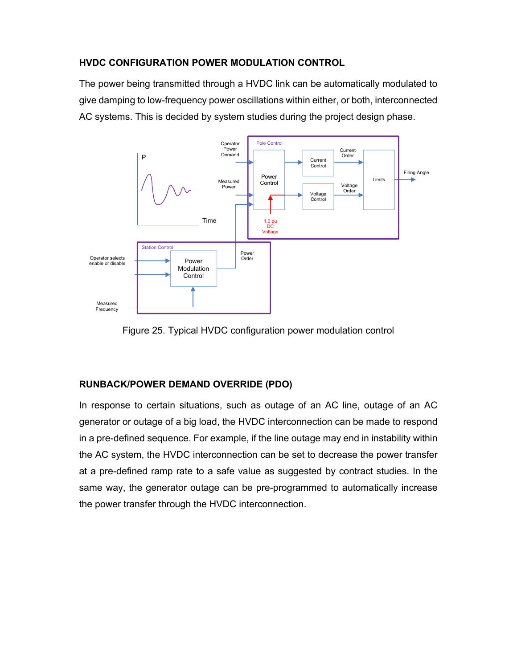# **HVDC CONFIGURATION POWER MODULATION CONTROL**

The power being transmitted through a HVDC link can be automatically modulated to give damping to low-frequency power oscillations within either, or both, interconnected AC systems. This is decided by system studies during the project design phase.



Figure 25. Typical HVDC configuration power modulation control

# **RUNBACK/POWER DEMAND OVERRIDE (PDO)**

In response to certain situations, such as outage of an AC line, outage of an AC generator or outage of a big load, the HVDC interconnection can be made to respond in a pre-defined sequence. For example, if the line outage may end in instability within the AC system, the HVDC interconnection can be set to decrease the power transfer at a pre-defined ramp rate to a safe value as suggested by contract studies. In the same way, the generator outage can be pre-programmed to automatically increase the power transfer through the HVDC interconnection.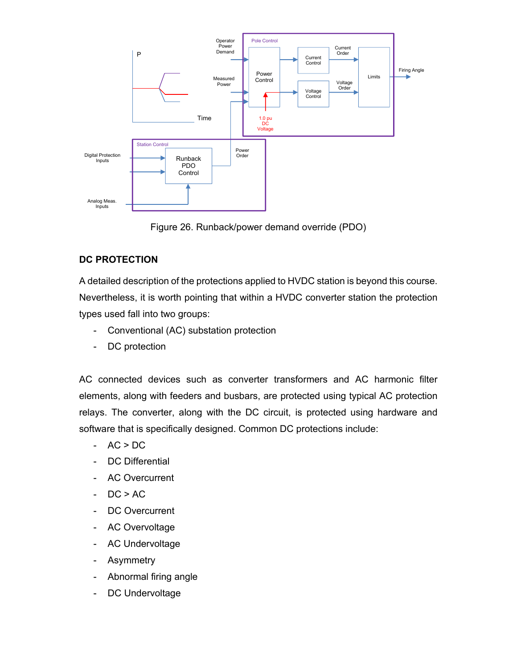

Figure 26. Runback/power demand override (PDO)

# **DC PROTECTION**

A detailed description of the protections applied to HVDC station is beyond this course. Nevertheless, it is worth pointing that within a HVDC converter station the protection types used fall into two groups:

- Conventional (AC) substation protection
- DC protection

AC connected devices such as converter transformers and AC harmonic filter elements, along with feeders and busbars, are protected using typical AC protection relays. The converter, along with the DC circuit, is protected using hardware and software that is specifically designed. Common DC protections include:

- $AC > DC$
- DC Differential
- AC Overcurrent
- $-$  DC  $> AC$
- DC Overcurrent
- AC Overvoltage
- AC Undervoltage
- Asymmetry
- Abnormal firing angle
- DC Undervoltage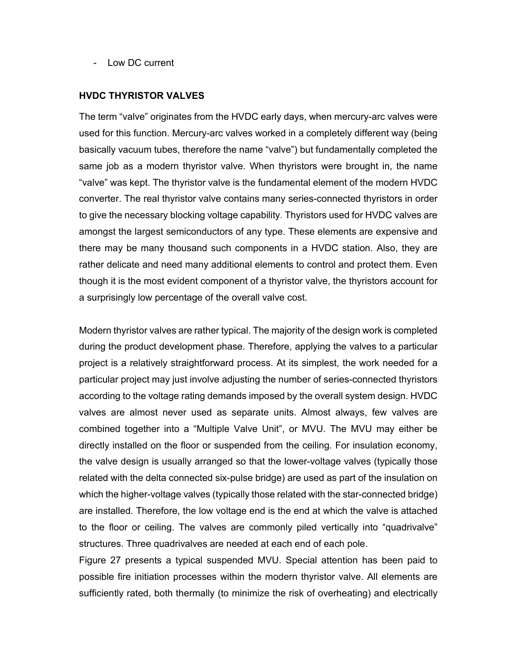- Low DC current

#### **HVDC THYRISTOR VALVES**

The term "valve" originates from the HVDC early days, when mercury-arc valves were used for this function. Mercury-arc valves worked in a completely different way (being basically vacuum tubes, therefore the name "valve") but fundamentally completed the same job as a modern thyristor valve. When thyristors were brought in, the name "valve" was kept. The thyristor valve is the fundamental element of the modern HVDC converter. The real thyristor valve contains many series-connected thyristors in order to give the necessary blocking voltage capability. Thyristors used for HVDC valves are amongst the largest semiconductors of any type. These elements are expensive and there may be many thousand such components in a HVDC station. Also, they are rather delicate and need many additional elements to control and protect them. Even though it is the most evident component of a thyristor valve, the thyristors account for a surprisingly low percentage of the overall valve cost.

Modern thyristor valves are rather typical. The majority of the design work is completed during the product development phase. Therefore, applying the valves to a particular project is a relatively straightforward process. At its simplest, the work needed for a particular project may just involve adjusting the number of series-connected thyristors according to the voltage rating demands imposed by the overall system design. HVDC valves are almost never used as separate units. Almost always, few valves are combined together into a "Multiple Valve Unit", or MVU. The MVU may either be directly installed on the floor or suspended from the ceiling. For insulation economy, the valve design is usually arranged so that the lower-voltage valves (typically those related with the delta connected six-pulse bridge) are used as part of the insulation on which the higher-voltage valves (typically those related with the star-connected bridge) are installed. Therefore, the low voltage end is the end at which the valve is attached to the floor or ceiling. The valves are commonly piled vertically into "quadrivalve" structures. Three quadrivalves are needed at each end of each pole.

Figure 27 presents a typical suspended MVU. Special attention has been paid to possible fire initiation processes within the modern thyristor valve. All elements are sufficiently rated, both thermally (to minimize the risk of overheating) and electrically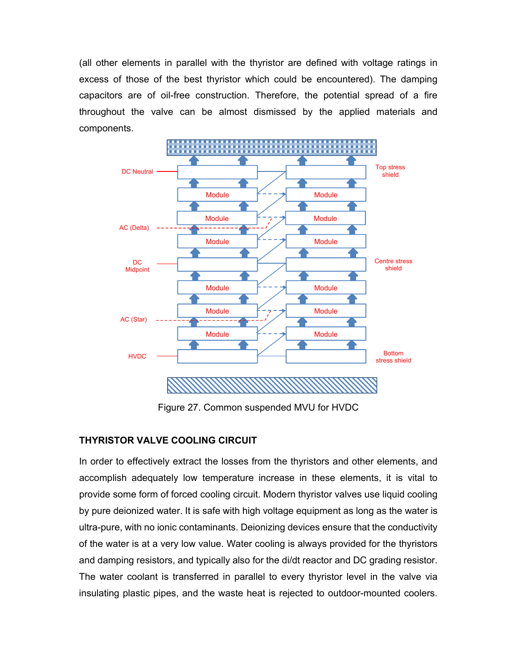(all other elements in parallel with the thyristor are defined with voltage ratings in excess of those of the best thyristor which could be encountered). The damping capacitors are of oil-free construction. Therefore, the potential spread of a fire throughout the valve can be almost dismissed by the applied materials and components.



Figure 27. Common suspended MVU for HVDC

# **THYRISTOR VALVE COOLING CIRCUIT**

In order to effectively extract the losses from the thyristors and other elements, and accomplish adequately low temperature increase in these elements, it is vital to provide some form of forced cooling circuit. Modern thyristor valves use liquid cooling by pure deionized water. It is safe with high voltage equipment as long as the water is ultra-pure, with no ionic contaminants. Deionizing devices ensure that the conductivity of the water is at a very low value. Water cooling is always provided for the thyristors and damping resistors, and typically also for the di/dt reactor and DC grading resistor. The water coolant is transferred in parallel to every thyristor level in the valve via insulating plastic pipes, and the waste heat is rejected to outdoor-mounted coolers.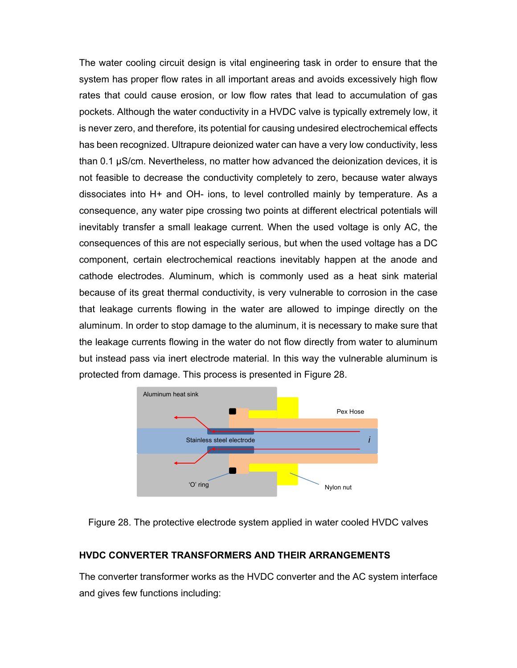The water cooling circuit design is vital engineering task in order to ensure that the system has proper flow rates in all important areas and avoids excessively high flow rates that could cause erosion, or low flow rates that lead to accumulation of gas pockets. Although the water conductivity in a HVDC valve is typically extremely low, it is never zero, and therefore, its potential for causing undesired electrochemical effects has been recognized. Ultrapure deionized water can have a very low conductivity, less than 0.1 μS/cm. Nevertheless, no matter how advanced the deionization devices, it is not feasible to decrease the conductivity completely to zero, because water always dissociates into H+ and OH- ions, to level controlled mainly by temperature. As a consequence, any water pipe crossing two points at different electrical potentials will inevitably transfer a small leakage current. When the used voltage is only AC, the consequences of this are not especially serious, but when the used voltage has a DC component, certain electrochemical reactions inevitably happen at the anode and cathode electrodes. Aluminum, which is commonly used as a heat sink material because of its great thermal conductivity, is very vulnerable to corrosion in the case that leakage currents flowing in the water are allowed to impinge directly on the aluminum. In order to stop damage to the aluminum, it is necessary to make sure that the leakage currents flowing in the water do not flow directly from water to aluminum but instead pass via inert electrode material. In this way the vulnerable aluminum is protected from damage. This process is presented in Figure 28.



Figure 28. The protective electrode system applied in water cooled HVDC valves

## **HVDC CONVERTER TRANSFORMERS AND THEIR ARRANGEMENTS**

The converter transformer works as the HVDC converter and the AC system interface and gives few functions including: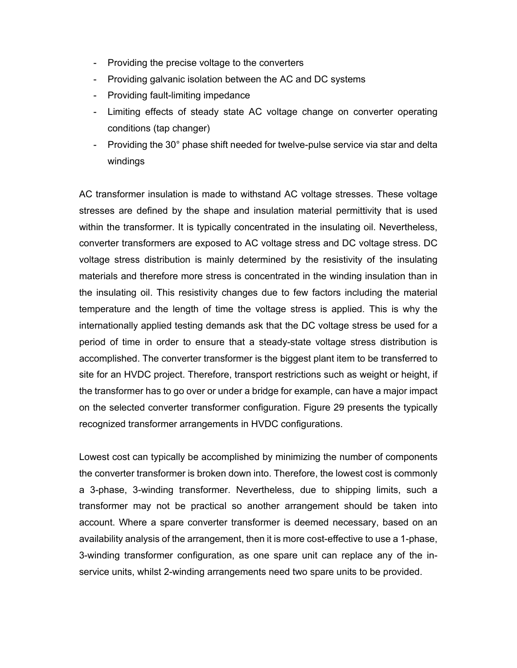- Providing the precise voltage to the converters
- Providing galvanic isolation between the AC and DC systems
- Providing fault-limiting impedance
- Limiting effects of steady state AC voltage change on converter operating conditions (tap changer)
- Providing the 30° phase shift needed for twelve-pulse service via star and delta windings

AC transformer insulation is made to withstand AC voltage stresses. These voltage stresses are defined by the shape and insulation material permittivity that is used within the transformer. It is typically concentrated in the insulating oil. Nevertheless, converter transformers are exposed to AC voltage stress and DC voltage stress. DC voltage stress distribution is mainly determined by the resistivity of the insulating materials and therefore more stress is concentrated in the winding insulation than in the insulating oil. This resistivity changes due to few factors including the material temperature and the length of time the voltage stress is applied. This is why the internationally applied testing demands ask that the DC voltage stress be used for a period of time in order to ensure that a steady-state voltage stress distribution is accomplished. The converter transformer is the biggest plant item to be transferred to site for an HVDC project. Therefore, transport restrictions such as weight or height, if the transformer has to go over or under a bridge for example, can have a major impact on the selected converter transformer configuration. Figure 29 presents the typically recognized transformer arrangements in HVDC configurations.

Lowest cost can typically be accomplished by minimizing the number of components the converter transformer is broken down into. Therefore, the lowest cost is commonly a 3-phase, 3-winding transformer. Nevertheless, due to shipping limits, such a transformer may not be practical so another arrangement should be taken into account. Where a spare converter transformer is deemed necessary, based on an availability analysis of the arrangement, then it is more cost-effective to use a 1-phase, 3-winding transformer configuration, as one spare unit can replace any of the inservice units, whilst 2-winding arrangements need two spare units to be provided.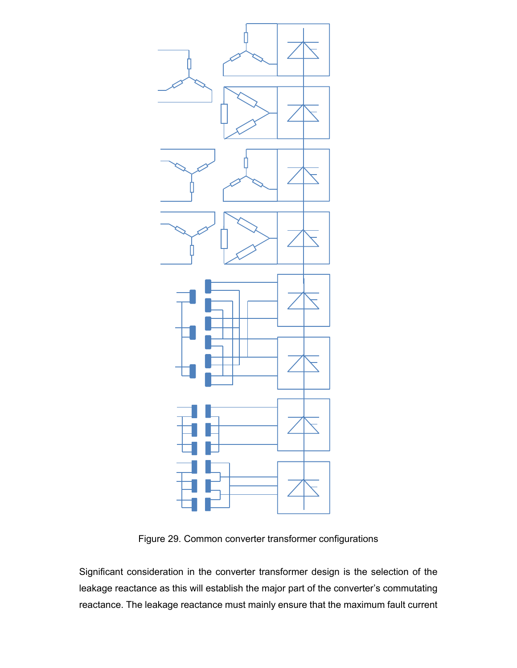

Figure 29. Common converter transformer configurations

Significant consideration in the converter transformer design is the selection of the leakage reactance as this will establish the major part of the converter's commutating reactance. The leakage reactance must mainly ensure that the maximum fault current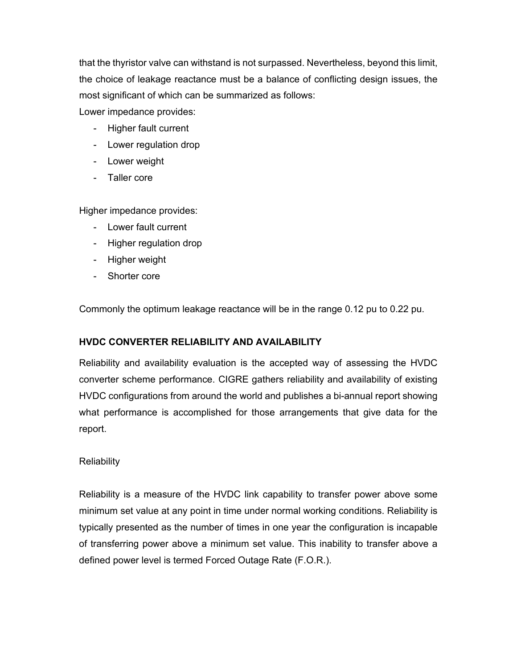that the thyristor valve can withstand is not surpassed. Nevertheless, beyond this limit, the choice of leakage reactance must be a balance of conflicting design issues, the most significant of which can be summarized as follows:

Lower impedance provides:

- Higher fault current
- Lower regulation drop
- Lower weight
- Taller core

Higher impedance provides:

- Lower fault current
- Higher regulation drop
- Higher weight
- Shorter core

Commonly the optimum leakage reactance will be in the range 0.12 pu to 0.22 pu.

## **HVDC CONVERTER RELIABILITY AND AVAILABILITY**

Reliability and availability evaluation is the accepted way of assessing the HVDC converter scheme performance. CIGRE gathers reliability and availability of existing HVDC configurations from around the world and publishes a bi-annual report showing what performance is accomplished for those arrangements that give data for the report.

## **Reliability**

Reliability is a measure of the HVDC link capability to transfer power above some minimum set value at any point in time under normal working conditions. Reliability is typically presented as the number of times in one year the configuration is incapable of transferring power above a minimum set value. This inability to transfer above a defined power level is termed Forced Outage Rate (F.O.R.).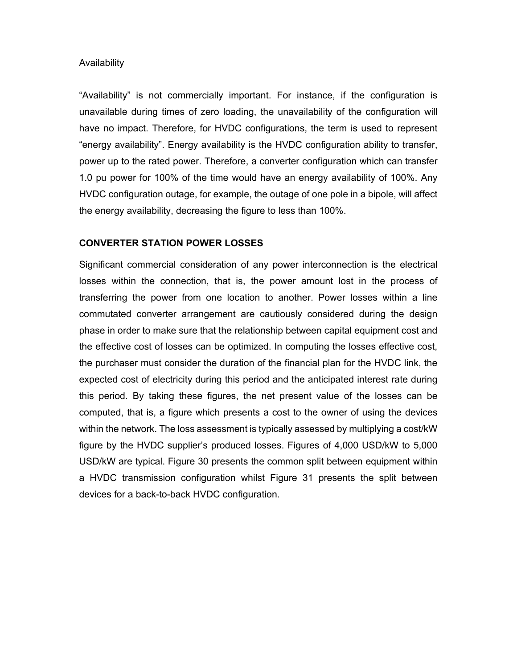#### Availability

"Availability" is not commercially important. For instance, if the configuration is unavailable during times of zero loading, the unavailability of the configuration will have no impact. Therefore, for HVDC configurations, the term is used to represent "energy availability". Energy availability is the HVDC configuration ability to transfer, power up to the rated power. Therefore, a converter configuration which can transfer 1.0 pu power for 100% of the time would have an energy availability of 100%. Any HVDC configuration outage, for example, the outage of one pole in a bipole, will affect the energy availability, decreasing the figure to less than 100%.

## **CONVERTER STATION POWER LOSSES**

Significant commercial consideration of any power interconnection is the electrical losses within the connection, that is, the power amount lost in the process of transferring the power from one location to another. Power losses within a line commutated converter arrangement are cautiously considered during the design phase in order to make sure that the relationship between capital equipment cost and the effective cost of losses can be optimized. In computing the losses effective cost, the purchaser must consider the duration of the financial plan for the HVDC link, the expected cost of electricity during this period and the anticipated interest rate during this period. By taking these figures, the net present value of the losses can be computed, that is, a figure which presents a cost to the owner of using the devices within the network. The loss assessment is typically assessed by multiplying a cost/kW figure by the HVDC supplier's produced losses. Figures of 4,000 USD/kW to 5,000 USD/kW are typical. Figure 30 presents the common split between equipment within a HVDC transmission configuration whilst Figure 31 presents the split between devices for a back-to-back HVDC configuration.